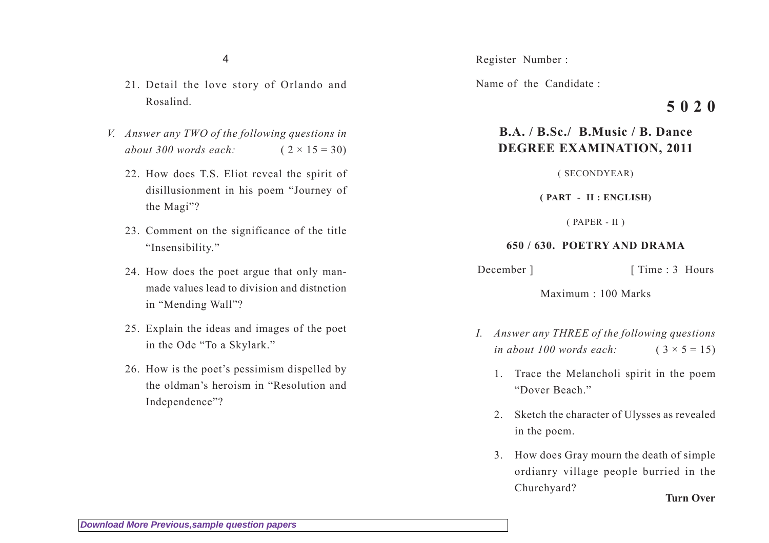4

- 21. Detail the love story of Orlando and Rosalind.
- *V. Answer any TWO of the following questions in about 300 words each:* ( 2 × 15 = 30)
	- 22. How does T.S. Eliot reveal the spirit of disillusionment in his poem "Journey of the Magi"?
	- 23. Comment on the significance of the title "Insensibility."
	- 24. How does the poet argue that only manmade values lead to division and distnction in "Mending Wall"?
	- 25. Explain the ideas and images of the poet in the Ode "To a Skylark."
	- 26. How is the poet's pessimism dispelled by the oldman's heroism in "Resolution and Independence"?

Register Number :

Name of the Candidate :

## **B.A. / B.Sc./ B.Music / B. Dance DEGREE EXAMINATION, 2011**

( SECONDYEAR)

**( PART - II : ENGLISH)**

( PAPER - II )

## **650 / 630. POETRY AND DRAMA**

December ] [ Time : 3 Hours

Maximum : 100 Marks

- *I. Answer any THREE of the following questions in about 100 words each:*  $(3 \times 5 = 15)$ 
	- 1. Trace the Melancholi spirit in the poem "Dover Beach."
	- 2. Sketch the character of Ulysses as revealed in the poem.
	- 3. How does Gray mourn the death of simple ordianry village people burried in the Churchyard?

**Turn Over**